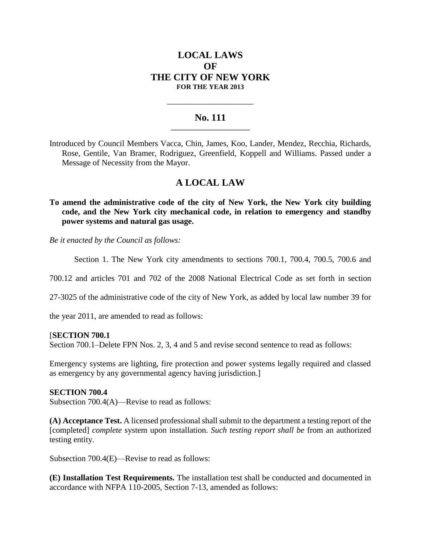# **LOCAL LAWS OF THE CITY OF NEW YORK FOR THE YEAR 2013**

### **No. 111 \_\_\_\_\_\_\_\_\_\_\_\_\_\_\_\_\_\_\_\_\_\_\_**

**\_\_\_\_\_\_\_\_\_\_\_\_\_\_\_\_\_\_\_\_\_\_\_\_\_\_\_\_**

Introduced by Council Members Vacca, Chin, James, Koo, Lander, Mendez, Recchia, Richards, Rose, Gentile, Van Bramer, Rodriguez, Greenfield, Koppell and Williams. Passed under a Message of Necessity from the Mayor.

# **A LOCAL LAW**

**To amend the administrative code of the city of New York, the New York city building code, and the New York city mechanical code, in relation to emergency and standby power systems and natural gas usage.**

*Be it enacted by the Council as follows:*

Section 1. The New York city amendments to sections 700.1, 700.4, 700.5, 700.6 and

700.12 and articles 701 and 702 of the 2008 National Electrical Code as set forth in section

27-3025 of the administrative code of the city of New York, as added by local law number 39 for

the year 2011, are amended to read as follows:

#### [**SECTION 700.1**

Section 700.1–Delete FPN Nos. 2, 3, 4 and 5 and revise second sentence to read as follows:

Emergency systems are lighting, fire protection and power systems legally required and classed as emergency by any governmental agency having jurisdiction.]

#### **SECTION 700.4**

Subsection 700.4(A)—Revise to read as follows:

**(A) Acceptance Test.** A licensed professional shall submit to the department a testing report of the [completed] *complete* system upon installation*. Such testing report shall be* from an authorized testing entity.

Subsection 700.4(E)—Revise to read as follows:

**(E) Installation Test Requirements.** The installation test shall be conducted and documented in accordance with NFPA 110-2005, Section 7-13, amended as follows: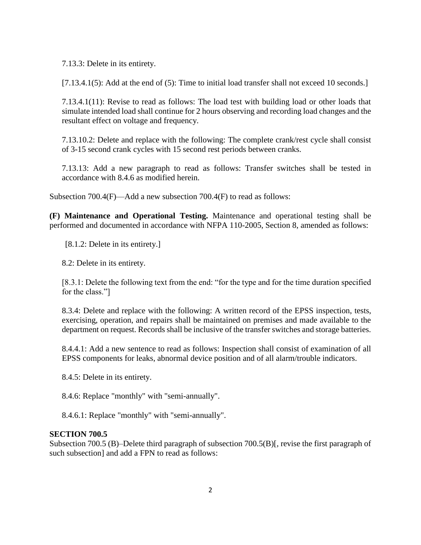7.13.3: Delete in its entirety.

[7.13.4.1(5): Add at the end of (5): Time to initial load transfer shall not exceed 10 seconds.]

7.13.4.1(11): Revise to read as follows: The load test with building load or other loads that simulate intended load shall continue for 2 hours observing and recording load changes and the resultant effect on voltage and frequency.

7.13.10.2: Delete and replace with the following: The complete crank/rest cycle shall consist of 3-15 second crank cycles with 15 second rest periods between cranks.

7.13.13: Add a new paragraph to read as follows: Transfer switches shall be tested in accordance with 8.4.6 as modified herein.

Subsection 700.4(F)—Add a new subsection 700.4(F) to read as follows:

**(F) Maintenance and Operational Testing.** Maintenance and operational testing shall be performed and documented in accordance with NFPA 110-2005, Section 8, amended as follows:

[8.1.2: Delete in its entirety.]

8.2: Delete in its entirety.

[8.3.1: Delete the following text from the end: "for the type and for the time duration specified for the class."

8.3.4: Delete and replace with the following: A written record of the EPSS inspection, tests, exercising, operation, and repairs shall be maintained on premises and made available to the department on request. Records shall be inclusive of the transfer switches and storage batteries.

8.4.4.1: Add a new sentence to read as follows: Inspection shall consist of examination of all EPSS components for leaks, abnormal device position and of all alarm/trouble indicators.

8.4.5: Delete in its entirety.

8.4.6: Replace "monthly" with "semi-annually".

8.4.6.1: Replace "monthly" with "semi-annually".

#### **SECTION 700.5**

Subsection 700.5 (B)–Delete third paragraph of subsection 700.5(B)[, revise the first paragraph of such subsection] and add a FPN to read as follows: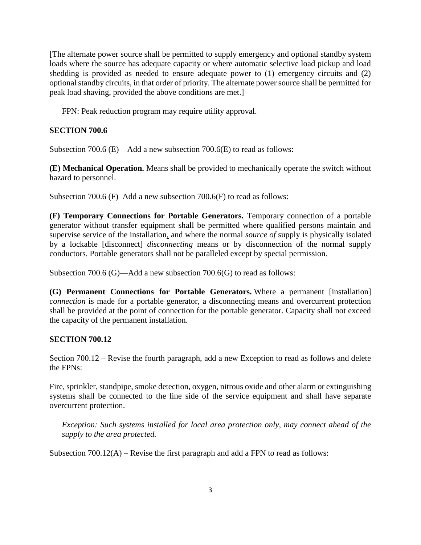[The alternate power source shall be permitted to supply emergency and optional standby system loads where the source has adequate capacity or where automatic selective load pickup and load shedding is provided as needed to ensure adequate power to (1) emergency circuits and (2) optional standby circuits, in that order of priority. The alternate power source shall be permitted for peak load shaving, provided the above conditions are met.]

FPN: Peak reduction program may require utility approval.

## **SECTION 700.6**

Subsection 700.6 (E)—Add a new subsection 700.6(E) to read as follows:

**(E) Mechanical Operation.** Means shall be provided to mechanically operate the switch without hazard to personnel.

Subsection 700.6 (F)–Add a new subsection 700.6(F) to read as follows:

**(F) Temporary Connections for Portable Generators.** Temporary connection of a portable generator without transfer equipment shall be permitted where qualified persons maintain and supervise service of the installation, and where the normal *source of* supply is physically isolated by a lockable [disconnect] *disconnecting* means or by disconnection of the normal supply conductors. Portable generators shall not be paralleled except by special permission.

Subsection 700.6 (G)—Add a new subsection 700.6(G) to read as follows:

**(G) Permanent Connections for Portable Generators.** Where a permanent [installation] *connection* is made for a portable generator, a disconnecting means and overcurrent protection shall be provided at the point of connection for the portable generator. Capacity shall not exceed the capacity of the permanent installation.

## **SECTION 700.12**

Section 700.12 – Revise the fourth paragraph, add a new Exception to read as follows and delete the FPNs:

Fire, sprinkler, standpipe, smoke detection, oxygen, nitrous oxide and other alarm or extinguishing systems shall be connected to the line side of the service equipment and shall have separate overcurrent protection.

*Exception: Such systems installed for local area protection only, may connect ahead of the supply to the area protected.* 

Subsection 700.12(A) – Revise the first paragraph and add a FPN to read as follows: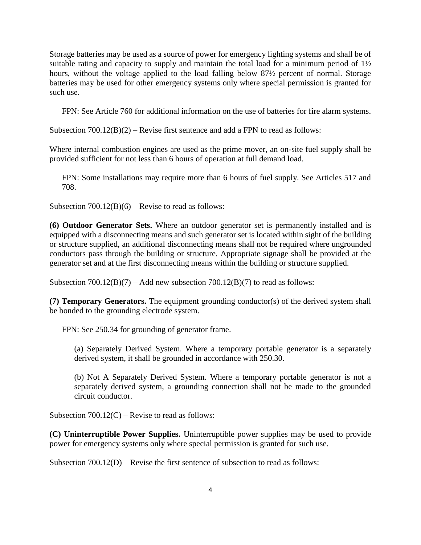Storage batteries may be used as a source of power for emergency lighting systems and shall be of suitable rating and capacity to supply and maintain the total load for a minimum period of  $1\frac{1}{2}$ hours, without the voltage applied to the load falling below 87½ percent of normal. Storage batteries may be used for other emergency systems only where special permission is granted for such use.

FPN: See Article 760 for additional information on the use of batteries for fire alarm systems.

Subsection  $700.12(B)(2)$  – Revise first sentence and add a FPN to read as follows:

Where internal combustion engines are used as the prime mover, an on-site fuel supply shall be provided sufficient for not less than 6 hours of operation at full demand load.

FPN: Some installations may require more than 6 hours of fuel supply. See Articles 517 and 708.

Subsection  $700.12(B)(6)$  – Revise to read as follows:

**(6) Outdoor Generator Sets.** Where an outdoor generator set is permanently installed and is equipped with a disconnecting means and such generator set is located within sight of the building or structure supplied, an additional disconnecting means shall not be required where ungrounded conductors pass through the building or structure. Appropriate signage shall be provided at the generator set and at the first disconnecting means within the building or structure supplied.

Subsection  $700.12(B)(7)$  – Add new subsection  $700.12(B)(7)$  to read as follows:

**(7) Temporary Generators.** The equipment grounding conductor(s) of the derived system shall be bonded to the grounding electrode system.

FPN: See 250.34 for grounding of generator frame.

(a) Separately Derived System. Where a temporary portable generator is a separately derived system, it shall be grounded in accordance with 250.30.

(b) Not A Separately Derived System. Where a temporary portable generator is not a separately derived system, a grounding connection shall not be made to the grounded circuit conductor.

Subsection  $700.12(C)$  – Revise to read as follows:

**(C) Uninterruptible Power Supplies.** Uninterruptible power supplies may be used to provide power for emergency systems only where special permission is granted for such use.

Subsection 700.12(D) – Revise the first sentence of subsection to read as follows: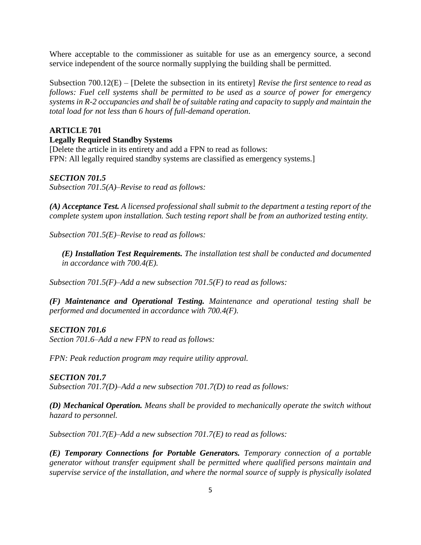Where acceptable to the commissioner as suitable for use as an emergency source, a second service independent of the source normally supplying the building shall be permitted.

Subsection 700.12(E) – [Delete the subsection in its entirety] *Revise the first sentence to read as follows: Fuel cell systems shall be permitted to be used as a source of power for emergency systems in R-2 occupancies and shall be of suitable rating and capacity to supply and maintain the total load for not less than 6 hours of full-demand operation*.

# **ARTICLE 701**

## **Legally Required Standby Systems**

[Delete the article in its entirety and add a FPN to read as follows: FPN: All legally required standby systems are classified as emergency systems.]

# *SECTION 701.5*

*Subsection 701.5(A)–Revise to read as follows:* 

*(A) Acceptance Test. A licensed professional shall submit to the department a testing report of the complete system upon installation. Such testing report shall be from an authorized testing entity.*

*Subsection 701.5(E)–Revise to read as follows:*

*(E) Installation Test Requirements. The installation test shall be conducted and documented in accordance with 700.4(E).*

*Subsection 701.5(F)–Add a new subsection 701.5(F) to read as follows:*

*(F) Maintenance and Operational Testing. Maintenance and operational testing shall be performed and documented in accordance with 700.4(F).*

## *SECTION 701.6*

*Section 701.6–Add a new FPN to read as follows:*

*FPN: Peak reduction program may require utility approval.*

## *SECTION 701.7*

*Subsection 701.7(D)–Add a new subsection 701.7(D) to read as follows:*

*(D) Mechanical Operation. Means shall be provided to mechanically operate the switch without hazard to personnel.*

*Subsection 701.7(E)–Add a new subsection 701.7(E) to read as follows:*

*(E) Temporary Connections for Portable Generators. Temporary connection of a portable generator without transfer equipment shall be permitted where qualified persons maintain and supervise service of the installation, and where the normal source of supply is physically isolated*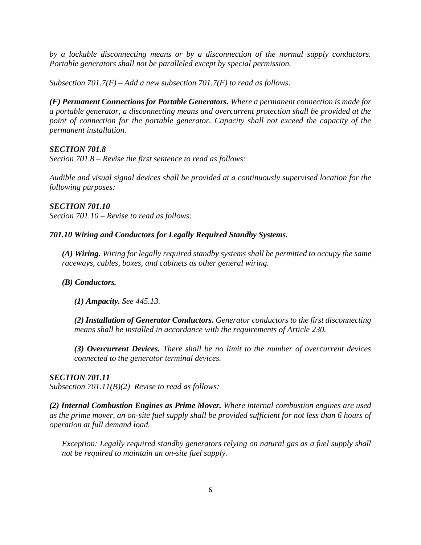*by a lockable disconnecting means or by a disconnection of the normal supply conductors. Portable generators shall not be paralleled except by special permission.*

*Subsection 701.7(F) – Add a new subsection 701.7(F) to read as follows:*

*(F) Permanent Connections for Portable Generators. Where a permanent connection is made for a portable generator, a disconnecting means and overcurrent protection shall be provided at the point of connection for the portable generator. Capacity shall not exceed the capacity of the permanent installation.*

## *SECTION 701.8*

*Section 701.8 – Revise the first sentence to read as follows:*

*Audible and visual signal devices shall be provided at a continuously supervised location for the following purposes:*

*SECTION 701.10 Section 701.10 – Revise to read as follows:*

## *701.10 Wiring and Conductors for Legally Required Standby Systems.*

*(A) Wiring. Wiring for legally required standby systems shall be permitted to occupy the same raceways, cables, boxes, and cabinets as other general wiring.*

## *(B) Conductors.*

*(1) Ampacity. See 445.13.*

*(2) Installation of Generator Conductors. Generator conductors to the first disconnecting means shall be installed in accordance with the requirements of Article 230.*

*(3) Overcurrent Devices. There shall be no limit to the number of overcurrent devices connected to the generator terminal devices.*

## *SECTION 701.11*

*Subsection 701.11(B)(2)–Revise to read as follows:*

*(2) Internal Combustion Engines as Prime Mover. Where internal combustion engines are used as the prime mover, an on-site fuel supply shall be provided sufficient for not less than 6 hours of operation at full demand load.*

*Exception: Legally required standby generators relying on natural gas as a fuel supply shall not be required to maintain an on-site fuel supply.*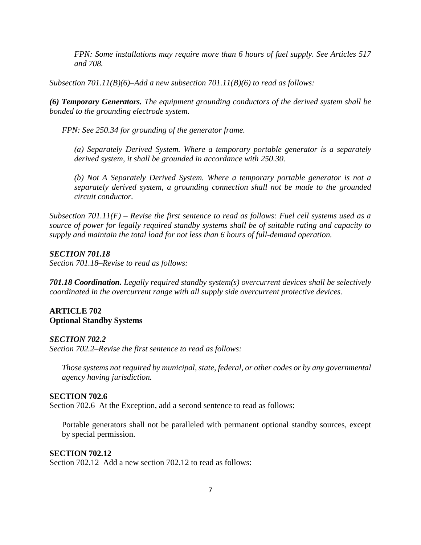*FPN: Some installations may require more than 6 hours of fuel supply. See Articles 517 and 708.* 

*Subsection 701.11(B)(6)–Add a new subsection 701.11(B)(6) to read as follows:*

*(6) Temporary Generators. The equipment grounding conductors of the derived system shall be bonded to the grounding electrode system.*

*FPN: See 250.34 for grounding of the generator frame.*

*(a) Separately Derived System. Where a temporary portable generator is a separately derived system, it shall be grounded in accordance with 250.30.*

*(b) Not A Separately Derived System. Where a temporary portable generator is not a separately derived system, a grounding connection shall not be made to the grounded circuit conductor.*

*Subsection 701.11(F) – Revise the first sentence to read as follows: Fuel cell systems used as a source of power for legally required standby systems shall be of suitable rating and capacity to supply and maintain the total load for not less than 6 hours of full-demand operation.*

### *SECTION 701.18*

*Section 701.18–Revise to read as follows:*

*701.18 Coordination. Legally required standby system(s) overcurrent devices shall be selectively coordinated in the overcurrent range with all supply side overcurrent protective devices.*

#### **ARTICLE 702 Optional Standby Systems**

#### *SECTION 702.2*

*Section 702.2–Revise the first sentence to read as follows:*

*Those systems not required by municipal, state, federal, or other codes or by any governmental agency having jurisdiction.*

#### **SECTION 702.6**

Section 702.6–At the Exception, add a second sentence to read as follows:

Portable generators shall not be paralleled with permanent optional standby sources, except by special permission.

### **SECTION 702.12**

Section 702.12–Add a new section 702.12 to read as follows: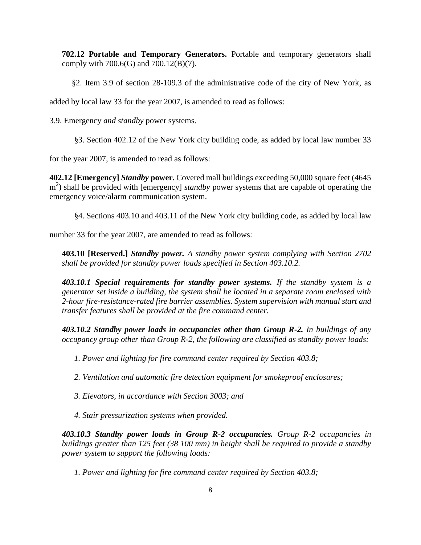**702.12 Portable and Temporary Generators.** Portable and temporary generators shall comply with 700.6(G) and 700.12(B)(7).

§2. Item 3.9 of section 28-109.3 of the administrative code of the city of New York, as

added by local law 33 for the year 2007, is amended to read as follows:

3.9. Emergency *and standby* power systems.

§3. Section 402.12 of the New York city building code, as added by local law number 33

for the year 2007, is amended to read as follows:

**402.12 [Emergency]** *Standby* **power.** Covered mall buildings exceeding 50,000 square feet (4645 m<sup>2</sup>) shall be provided with [emergency] *standby* power systems that are capable of operating the emergency voice/alarm communication system.

§4. Sections 403.10 and 403.11 of the New York city building code, as added by local law

number 33 for the year 2007, are amended to read as follows:

**403.10 [Reserved.]** *Standby power. A standby power system complying with Section 2702 shall be provided for standby power loads specified in Section 403.10.2.*

*403.10.1 Special requirements for standby power systems. If the standby system is a generator set inside a building, the system shall be located in a separate room enclosed with 2-hour fire-resistance-rated fire barrier assemblies. System supervision with manual start and transfer features shall be provided at the fire command center.*

*403.10.2 Standby power loads in occupancies other than Group R-2. In buildings of any occupancy group other than Group R-2, the following are classified as standby power loads:*

*1. Power and lighting for fire command center required by Section 403.8;*

*2. Ventilation and automatic fire detection equipment for smokeproof enclosures;*

*3. Elevators, in accordance with Section 3003; and*

*4. Stair pressurization systems when provided.*

*403.10.3 Standby power loads in Group R-2 occupancies. Group R-2 occupancies in buildings greater than 125 feet (38 100 mm) in height shall be required to provide a standby power system to support the following loads:*

*1. Power and lighting for fire command center required by Section 403.8;*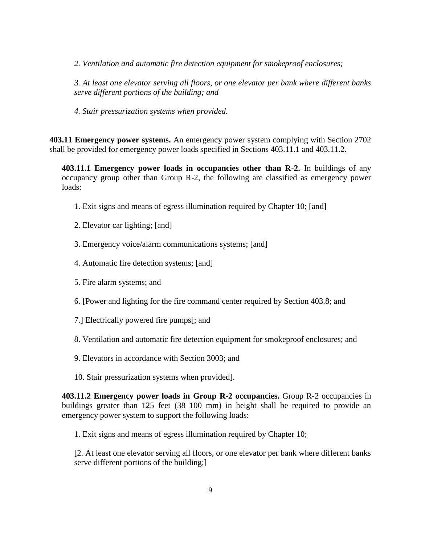*2. Ventilation and automatic fire detection equipment for smokeproof enclosures;*

*3. At least one elevator serving all floors, or one elevator per bank where different banks serve different portions of the building; and*

*4. Stair pressurization systems when provided.*

**403.11 Emergency power systems.** An emergency power system complying with Section 2702 shall be provided for emergency power loads specified in Sections 403.11.1 and 403.11.2.

**403.11.1 Emergency power loads in occupancies other than R-2.** In buildings of any occupancy group other than Group R-2, the following are classified as emergency power loads:

- 1. Exit signs and means of egress illumination required by Chapter 10; [and]
- 2. Elevator car lighting; [and]
- 3. Emergency voice/alarm communications systems; [and]
- 4. Automatic fire detection systems; [and]
- 5. Fire alarm systems; and
- 6. [Power and lighting for the fire command center required by Section 403.8; and
- 7.] Electrically powered fire pumps[; and
- 8. Ventilation and automatic fire detection equipment for smokeproof enclosures; and
- 9. Elevators in accordance with Section 3003; and
- 10. Stair pressurization systems when provided].

**403.11.2 Emergency power loads in Group R-2 occupancies.** Group R-2 occupancies in buildings greater than 125 feet (38 100 mm) in height shall be required to provide an emergency power system to support the following loads:

1. Exit signs and means of egress illumination required by Chapter 10;

[2. At least one elevator serving all floors, or one elevator per bank where different banks serve different portions of the building;]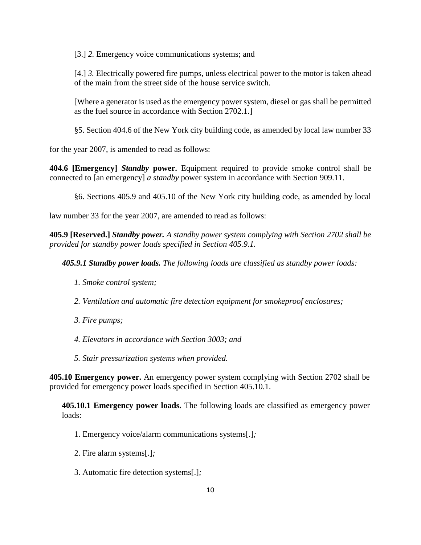[3.] *2.* Emergency voice communications systems; and

[4.] *3.* Electrically powered fire pumps, unless electrical power to the motor is taken ahead of the main from the street side of the house service switch.

[Where a generator is used as the emergency power system, diesel or gas shall be permitted as the fuel source in accordance with Section 2702.1.]

§5. Section 404.6 of the New York city building code, as amended by local law number 33

for the year 2007, is amended to read as follows:

**404.6 [Emergency]** *Standby* **power.** Equipment required to provide smoke control shall be connected to [an emergency] *a standby* power system in accordance with Section 909.11.

§6. Sections 405.9 and 405.10 of the New York city building code, as amended by local

law number 33 for the year 2007, are amended to read as follows:

**405.9 [Reserved.]** *Standby power. A standby power system complying with Section 2702 shall be provided for standby power loads specified in Section 405.9.1.* 

*405.9.1 Standby power loads. The following loads are classified as standby power loads:*

- *1. Smoke control system;*
- *2. Ventilation and automatic fire detection equipment for smokeproof enclosures;*
- *3. Fire pumps;*
- *4. Elevators in accordance with Section 3003; and*
- *5. Stair pressurization systems when provided.*

**405.10 Emergency power.** An emergency power system complying with Section 2702 shall be provided for emergency power loads specified in Section 405.10.1.

**405.10.1 Emergency power loads.** The following loads are classified as emergency power loads:

- 1. Emergency voice/alarm communications systems[.]*;*
- 2. Fire alarm systems[.]*;*
- 3. Automatic fire detection systems[.]*;*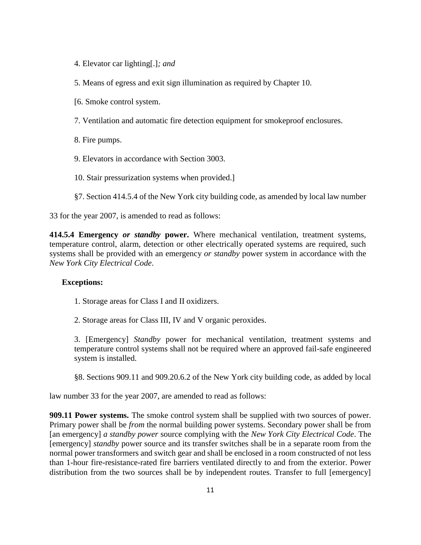4. Elevator car lighting[.]*; and*

5. Means of egress and exit sign illumination as required by Chapter 10.

- [6. Smoke control system.
- 7. Ventilation and automatic fire detection equipment for smokeproof enclosures.
- 8. Fire pumps.
- 9. Elevators in accordance with Section 3003.
- 10. Stair pressurization systems when provided.]
- §7. Section 414.5.4 of the New York city building code, as amended by local law number

33 for the year 2007, is amended to read as follows:

**414.5.4 Emergency** *or standby* **power.** Where mechanical ventilation, treatment systems, temperature control, alarm, detection or other electrically operated systems are required, such systems shall be provided with an emergency *or standby* power system in accordance with the *New York City Electrical Code*.

### **Exceptions:**

- 1. Storage areas for Class I and II oxidizers.
- 2. Storage areas for Class III, IV and V organic peroxides.

3. [Emergency] *Standby* power for mechanical ventilation, treatment systems and temperature control systems shall not be required where an approved fail-safe engineered system is installed.

§8. Sections 909.11 and 909.20.6.2 of the New York city building code, as added by local

law number 33 for the year 2007, are amended to read as follows:

**909.11 Power systems.** The smoke control system shall be supplied with two sources of power. Primary power shall be *from* the normal building power systems. Secondary power shall be from [an emergency] *a standby power* source complying with the *New York City Electrical Code*. The [emergency] *standby* power source and its transfer switches shall be in a separate room from the normal power transformers and switch gear and shall be enclosed in a room constructed of not less than 1-hour fire-resistance-rated fire barriers ventilated directly to and from the exterior. Power distribution from the two sources shall be by independent routes. Transfer to full [emergency]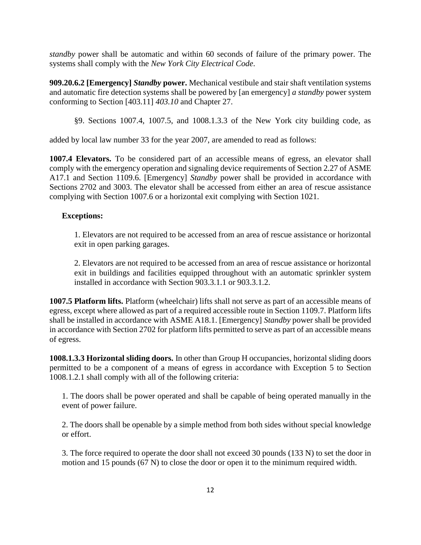*standby* power shall be automatic and within 60 seconds of failure of the primary power. The systems shall comply with the *New York City Electrical Code*.

**909.20.6.2 [Emergency]** *Standby* **power.** Mechanical vestibule and stair shaft ventilation systems and automatic fire detection systems shall be powered by [an emergency] *a standby* power system conforming to Section [403.11] *403.10* and Chapter 27.

§9. Sections 1007.4, 1007.5, and 1008.1.3.3 of the New York city building code, as

added by local law number 33 for the year 2007, are amended to read as follows:

**1007.4 Elevators.** To be considered part of an accessible means of egress, an elevator shall comply with the emergency operation and signaling device requirements of Section 2.27 of ASME A17.1 and Section 1109.6. [Emergency] *Standby* power shall be provided in accordance with Sections 2702 and 3003. The elevator shall be accessed from either an area of rescue assistance complying with Section 1007.6 or a horizontal exit complying with Section 1021.

#### **Exceptions:**

1. Elevators are not required to be accessed from an area of rescue assistance or horizontal exit in open parking garages.

2. Elevators are not required to be accessed from an area of rescue assistance or horizontal exit in buildings and facilities equipped throughout with an automatic sprinkler system installed in accordance with Section 903.3.1.1 or 903.3.1.2.

**1007.5 Platform lifts.** Platform (wheelchair) lifts shall not serve as part of an accessible means of egress, except where allowed as part of a required accessible route in Section 1109.7. Platform lifts shall be installed in accordance with ASME A18.1. [Emergency] *Standby* power shall be provided in accordance with Section 2702 for platform lifts permitted to serve as part of an accessible means of egress.

**1008.1.3.3 Horizontal sliding doors.** In other than Group H occupancies, horizontal sliding doors permitted to be a component of a means of egress in accordance with Exception 5 to Section 1008.1.2.1 shall comply with all of the following criteria:

1. The doors shall be power operated and shall be capable of being operated manually in the event of power failure.

2. The doors shall be openable by a simple method from both sides without special knowledge or effort.

3. The force required to operate the door shall not exceed 30 pounds (133 N) to set the door in motion and 15 pounds (67 N) to close the door or open it to the minimum required width.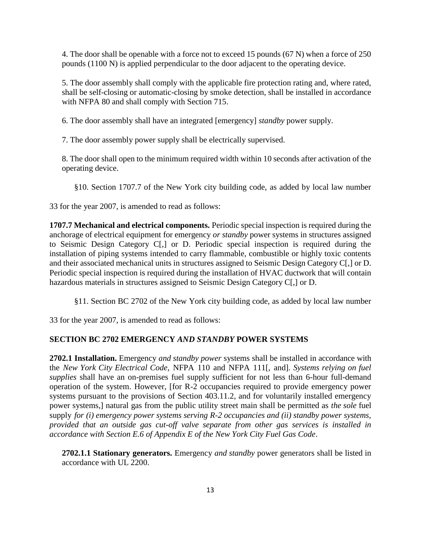4. The door shall be openable with a force not to exceed 15 pounds (67 N) when a force of 250 pounds (1100 N) is applied perpendicular to the door adjacent to the operating device.

5. The door assembly shall comply with the applicable fire protection rating and, where rated, shall be self-closing or automatic-closing by smoke detection, shall be installed in accordance with NFPA 80 and shall comply with Section 715.

6. The door assembly shall have an integrated [emergency] *standby* power supply.

7. The door assembly power supply shall be electrically supervised.

8. The door shall open to the minimum required width within 10 seconds after activation of the operating device.

§10. Section 1707.7 of the New York city building code, as added by local law number

33 for the year 2007, is amended to read as follows:

**1707.7 Mechanical and electrical components.** Periodic special inspection is required during the anchorage of electrical equipment for emergency *or standby* power systems in structures assigned to Seismic Design Category C[,] or D. Periodic special inspection is required during the installation of piping systems intended to carry flammable, combustible or highly toxic contents and their associated mechanical units in structures assigned to Seismic Design Category C[,] or D. Periodic special inspection is required during the installation of HVAC ductwork that will contain hazardous materials in structures assigned to Seismic Design Category C[,] or D.

§11. Section BC 2702 of the New York city building code, as added by local law number

33 for the year 2007, is amended to read as follows:

# **SECTION BC 2702 EMERGENCY** *AND STANDBY* **POWER SYSTEMS**

**2702.1 Installation.** Emergency *and standby power* systems shall be installed in accordance with the *New York City Electrical Code*, NFPA 110 and NFPA 111[, and]*. Systems relying on fuel supplies* shall have an on-premises fuel supply sufficient for not less than 6-hour full-demand operation of the system. However, [for R-2 occupancies required to provide emergency power systems pursuant to the provisions of Section 403.11.2, and for voluntarily installed emergency power systems,] natural gas from the public utility street main shall be permitted as *the sole* fuel supply *for (i) emergency power systems serving R-2 occupancies and (ii) standby power systems, provided that an outside gas cut-off valve separate from other gas services is installed in accordance with Section E.6 of Appendix E of the New York City Fuel Gas Code*.

**2702.1.1 Stationary generators.** Emergency *and standby* power generators shall be listed in accordance with UL 2200.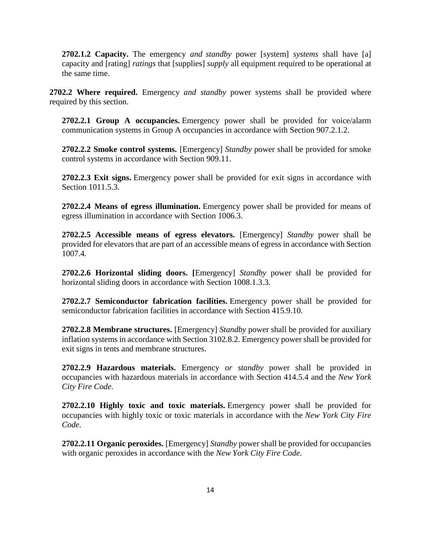**2702.1.2 Capacity.** The emergency *and standby* power [system] *systems* shall have [a] capacity and [rating] *ratings* that [supplies] *supply* all equipment required to be operational at the same time.

**2702.2 Where required.** Emergency *and standby* power systems shall be provided where required by this section.

**2702.2.1 Group A occupancies.** Emergency power shall be provided for voice/alarm communication systems in Group A occupancies in accordance with Section 907.2.1.2.

**2702.2.2 Smoke control systems.** [Emergency] *Standby* power shall be provided for smoke control systems in accordance with Section 909.11.

**2702.2.3 Exit signs.** Emergency power shall be provided for exit signs in accordance with Section 1011.5.3.

**2702.2.4 Means of egress illumination.** Emergency power shall be provided for means of egress illumination in accordance with Section 1006.3.

**2702.2.5 Accessible means of egress elevators.** [Emergency] *Standby* power shall be provided for elevators that are part of an accessible means of egress in accordance with Section 1007.4*.*

**2702.2.6 Horizontal sliding doors. [**Emergency] *Standby* power shall be provided for horizontal sliding doors in accordance with Section 1008.1.3.3*.*

**2702.2.7 Semiconductor fabrication facilities.** Emergency power shall be provided for semiconductor fabrication facilities in accordance with Section 415.9.10.

**2702.2.8 Membrane structures.** [Emergency] *Standby* power shall be provided for auxiliary inflation systems in accordance with Section 3102.8.2. Emergency power shall be provided for exit signs in tents and membrane structures.

**2702.2.9 Hazardous materials.** Emergency *or standby* power shall be provided in occupancies with hazardous materials in accordance with Section 414.5.4 and the *New York City Fire Code*.

**2702.2.10 Highly toxic and toxic materials.** Emergency power shall be provided for occupancies with highly toxic or toxic materials in accordance with the *New York City Fire Code*.

**2702.2.11 Organic peroxides.** [Emergency] *Standby* power shall be provided for occupancies with organic peroxides in accordance with the *New York City Fire Code*.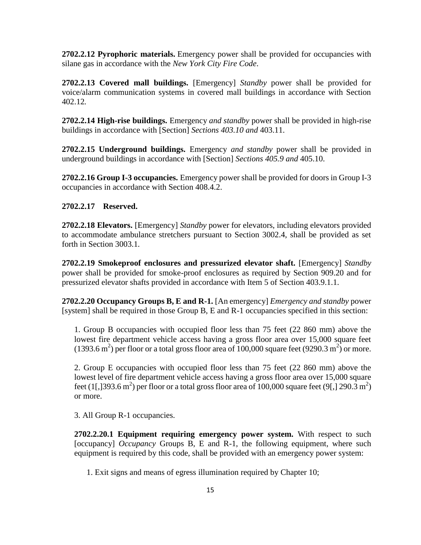**2702.2.12 Pyrophoric materials.** Emergency power shall be provided for occupancies with silane gas in accordance with the *New York City Fire Code*.

**2702.2.13 Covered mall buildings.** [Emergency] *Standby* power shall be provided for voice/alarm communication systems in covered mall buildings in accordance with Section 402.12*.*

**2702.2.14 High-rise buildings.** Emergency *and standby* power shall be provided in high-rise buildings in accordance with [Section] *Sections 403.10 and* 403.11.

**2702.2.15 Underground buildings.** Emergency *and standby* power shall be provided in underground buildings in accordance with [Section] *Sections 405.9 and* 405.10.

**2702.2.16 Group I-3 occupancies.** Emergency power shall be provided for doors in Group I-3 occupancies in accordance with Section 408.4.2.

## **2702.2.17 Reserved.**

**2702.2.18 Elevators.** [Emergency] *Standby* power for elevators, including elevators provided to accommodate ambulance stretchers pursuant to Section 3002.4, shall be provided as set forth in Section 3003.1*.*

**2702.2.19 Smokeproof enclosures and pressurized elevator shaft.** [Emergency] *Standby* power shall be provided for smoke-proof enclosures as required by Section 909.20 and for pressurized elevator shafts provided in accordance with Item 5 of Section 403.9.1.1.

**2702.2.20 Occupancy Groups B, E and R-1.** [An emergency] *Emergency and standby* power [system] shall be required in those Group B, E and R-1 occupancies specified in this section:

1. Group B occupancies with occupied floor less than 75 feet (22 860 mm) above the lowest fire department vehicle access having a gross floor area over 15,000 square feet  $(1393.6 \text{ m}^2)$  per floor or a total gross floor area of 100,000 square feet (9290.3 m<sup>2</sup>) or more.

2. Group E occupancies with occupied floor less than 75 feet (22 860 mm) above the lowest level of fire department vehicle access having a gross floor area over 15,000 square feet (1[,]393.6 m<sup>2</sup>) per floor or a total gross floor area of 100,000 square feet (9[,] 290.3 m<sup>2</sup>) or more.

3. All Group R-1 occupancies.

**2702.2.20.1 Equipment requiring emergency power system.** With respect to such [occupancy] *Occupancy* Groups B, E and R-1, the following equipment, where such equipment is required by this code, shall be provided with an emergency power system:

1. Exit signs and means of egress illumination required by Chapter 10;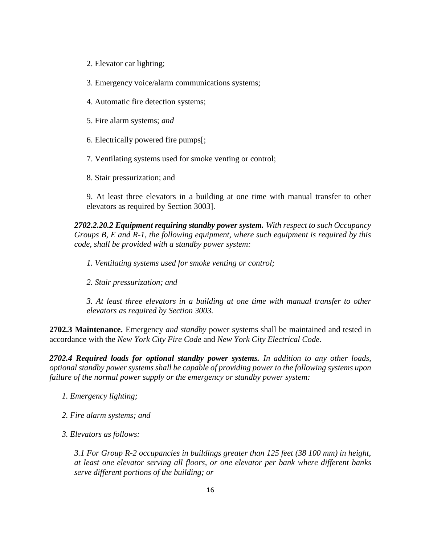- 2. Elevator car lighting;
- 3. Emergency voice/alarm communications systems;
- 4. Automatic fire detection systems;
- 5. Fire alarm systems; *and*
- 6. Electrically powered fire pumps[;
- 7. Ventilating systems used for smoke venting or control;
- 8. Stair pressurization; and

9. At least three elevators in a building at one time with manual transfer to other elevators as required by Section 3003].

*2702.2.20.2 Equipment requiring standby power system. With respect to such Occupancy Groups B, E and R-1, the following equipment, where such equipment is required by this code, shall be provided with a standby power system:*

- *1. Ventilating systems used for smoke venting or control;*
- *2. Stair pressurization; and*

*3. At least three elevators in a building at one time with manual transfer to other elevators as required by Section 3003.*

**2702.3 Maintenance.** Emergency *and standby* power systems shall be maintained and tested in accordance with the *New York City Fire Code* and *New York City Electrical Code*.

*2702.4 Required loads for optional standby power systems. In addition to any other loads, optional standby power systems shall be capable of providing power to the following systems upon failure of the normal power supply or the emergency or standby power system:*

- *1. Emergency lighting;*
- *2. Fire alarm systems; and*
- *3. Elevators as follows:*

*3.1 For Group R-2 occupancies in buildings greater than 125 feet (38 100 mm) in height, at least one elevator serving all floors, or one elevator per bank where different banks serve different portions of the building; or*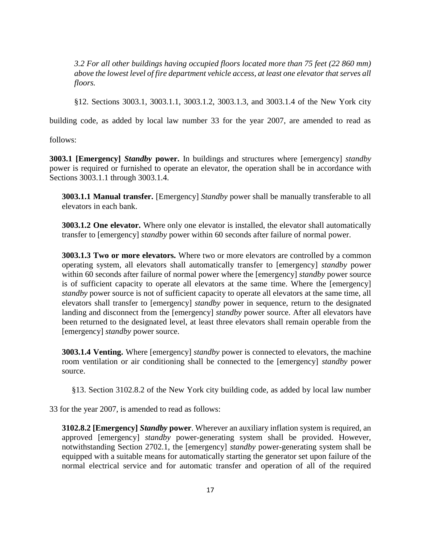*3.2 For all other buildings having occupied floors located more than 75 feet (22 860 mm) above the lowest level of fire department vehicle access, at least one elevator that serves all floors.*

§12. Sections 3003.1, 3003.1.1, 3003.1.2, 3003.1.3, and 3003.1.4 of the New York city

building code, as added by local law number 33 for the year 2007, are amended to read as

follows:

**3003.1 [Emergency]** *Standby* **power.** In buildings and structures where [emergency] *standby* power is required or furnished to operate an elevator, the operation shall be in accordance with Sections 3003.1.1 through 3003.1.4.

**3003.1.1 Manual transfer.** [Emergency] *Standby* power shall be manually transferable to all elevators in each bank.

**3003.1.2 One elevator.** Where only one elevator is installed, the elevator shall automatically transfer to [emergency] *standby* power within 60 seconds after failure of normal power.

**3003.1.3 Two or more elevators.** Where two or more elevators are controlled by a common operating system, all elevators shall automatically transfer to [emergency] *standby* power within 60 seconds after failure of normal power where the [emergency] *standby* power source is of sufficient capacity to operate all elevators at the same time. Where the [emergency] *standby* power source is not of sufficient capacity to operate all elevators at the same time, all elevators shall transfer to [emergency] *standby* power in sequence, return to the designated landing and disconnect from the [emergency] *standby* power source. After all elevators have been returned to the designated level, at least three elevators shall remain operable from the [emergency] *standby* power source.

**3003.1.4 Venting.** Where [emergency] *standby* power is connected to elevators, the machine room ventilation or air conditioning shall be connected to the [emergency] *standby* power source.

§13. Section 3102.8.2 of the New York city building code, as added by local law number

33 for the year 2007, is amended to read as follows:

**3102.8.2 [Emergency]** *Standby* **power**. Wherever an auxiliary inflation system is required, an approved [emergency] *standby* power-generating system shall be provided. However, notwithstanding Section 2702.1, the [emergency] *standby* power-generating system shall be equipped with a suitable means for automatically starting the generator set upon failure of the normal electrical service and for automatic transfer and operation of all of the required